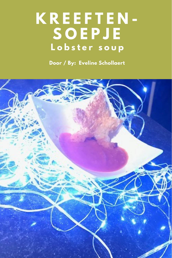# **K R E E F T E N - S O E P J E L o b s t e r s o u p**

**Door / By: Eveline Schollaert**

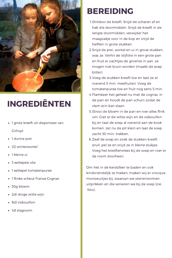

# INGREDIËNTEN

- 1 grote kreeft uit diepvriezer van Colruyt
- 1 dunne prei  $\bullet$
- 1/2 winterwortel
- 1 kleine ui
- 3 eetlepels olie
- 1 eetlepel tomatenpuree
- 1 flinke scheut Franse Cognac
- 30g bloem  $\bullet$
- 2dl droge witte wijn  $\bullet$
- 6dl visbouillon
- 1dl slagroom

#### BEREIDING

- 1.Ontdooi de kreeft. Snijd de scharen af en hak die doormidden. Snijd de kreeft in de lengte doormidden, verwijder het maagzakje voor in de kop en snijd de helften in grote stukken.
- 2. Snijd de prei, wortel en ui in grove stukken, was ze. Verhit de olijfolie in een grote pan en fruit er zachtjes de groente in aan, ze mogen niet bruin worden (maakt de soep bitter).
- 3. Voeg de stukken kreeft toe en laat ze al roerend 5 min. meefruiten. Voeg de tomatenpuree toe en fruit nog eens 5 min.
- 4. Flambeer het geheel nu met de cognac in de pan en houdt de pan schuin zodat de vlam erin kan slaan.
- 5. Strooi de bloem in de pan en roer alles flink om. Giet er de witte wijn en de visbouillon bij en laat de soep al roerend aan de kook komen. zet nu de pit klein en laat de soep zacht 30 min. trekken.
- 6. Zeef de soep en zoek de stukken kreeft eruit. pel ze en snijd ze in kleine stukjes. Voeg het kreeftenvlees bij de soep en roer er de room doorheen.

Om het in de kerstsfeer te baden en ook kindvriendelijk te maken, maken wij er crocque monsieurtjes bij, waarvan we sterrenvormen uitprikken en die serveren we bij de soep (zie foto).